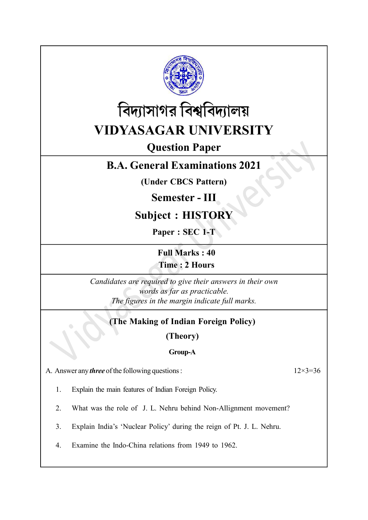



# Question Paper

# B.A. General Examinations 2021

(Under CBCS Pattern)

# Semester - III

# Subject : HISTORY

Paper : SEC 1-T

Full Marks : 40 Time : 2 Hours

Candidates are required to give their answers in their own words as far as practicable. The figures in the margin indicate full marks.

## (The Making of Indian Foreign Policy)

(Theory)

## Group-A

A. Answer any *three* of the following questions :  $12 \times 3 = 36$ 

- 1. Explain the main features of Indian Foreign Policy.
- 2. What was the role of J. L. Nehru behind Non-Allignment movement?
- 3. Explain India's 'Nuclear Policy' during the reign of Pt. J. L. Nehru.
- 4. Examine the Indo-China relations from 1949 to 1962.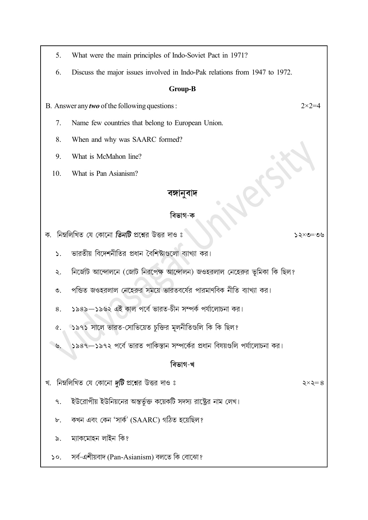- 5. What were the main principles of Indo-Soviet Pact in 1971?
- 6. Discuss the major issues involved in Indo-Pak relations from 1947 to 1972.

### Group-B

B. Answer any *two* of the following questions :  $2 \times 2 = 4$ 

- 7. Name few countries that belong to European Union.
- 8. When and why was SAARC formed?
- 9. What is McMahon line?
- 10. What is Pan Asianism?

## বঙ্গানবাদ

## বিভাগ-ক

 $20 = 20 \times 22$ 

২ $\times$ ২ $=$ ৪

ক. নিম্নলিখিত যে কোনো **তিনটি** প্রশ্নের উত্তর দাও ঃ

- ভারতীয় বিদেশনীতির প্রধান বৈশিষ্ট্যগুলো ব্যাখ্যা কর।  $\mathbf{S}$ .
- নির্জোট আন্দোলনে (জোট নিরপেক্ষ আন্দোলন) জওহরলাল নেহেরুর ভূমিকা কি ছিল? ২.
- পন্ডিত জওহরলাল নেহেরুর সময়ে ভারতবর্ষের পারমাণবিক নীতি ব্যাখ্যা কর।  $\mathcal{O}_{\mathcal{L}}$
- ১৯৪৯—১৯৬২ এই কাল পর্বে ভারত-চীন সম্পর্ক পর্যালোচনা কর।  $\mathbf{S}$
- ১৯৭১ সালে ভারত-সোভিয়েত চুক্তির মূলনীতিগুলি কি কি ছিল?  $\alpha$ .

১৯৪৭–১৯৭২ পর্বে ভারত পাকিস্তান সম্পর্কের প্রধান বিষয়গুলি পর্যালোচনা কর।  $\tilde{\mathcal{C}}$ 

## বিভাগ-খ

- খ. নিম্নলিখিত যে কোনো *দুটি* প্রশ্নের উত্তর দাও ঃ
	- ইউরোপীয় ইউনিয়নের অন্তর্ভুক্ত কয়েকটি সদস্য রাষ্ট্রের নাম লেখ। ٩.
	- কখন এবং কেন 'সার্ক' (SAARC) গঠিত হয়েছিল?  $\mathbf{b}$ .
	- ম্যাকমোহন লাইন কি?  $\delta$ .
	- সৰ্ব-এশীয়বাদ (Pan-Asianism) বলতে কি বোঝো?  $\mathsf{S} \circ$ .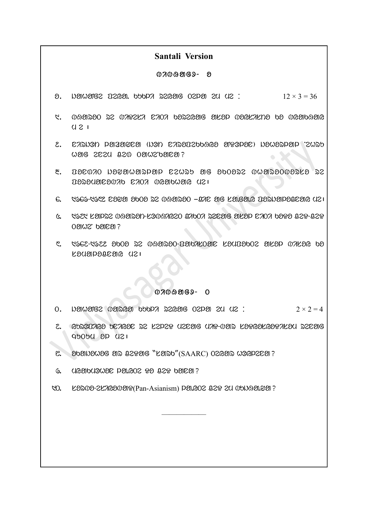## Santali Version

#### $07009069 - 8$

- $\delta$ . Nether peys that the peyagon of  $\delta$  is  $\delta$  is  $\delta$  is  $\delta$  is  $\delta$  is  $\delta$  and  $\delta$  is  $\delta$  is  $\delta$  is  $\delta$  is  $\delta$  is  $\delta$  is  $\delta$  is  $\delta$  is  $\delta$  is  $\delta$  is  $\delta$  is  $\delta$  is  $\delta$  is  $\delta$  is  $\delta$  is  $\delta$  is  $\delta$  i
- $1.$   $0.030300$   $32$   $0.792$ Ka  $0.702$   $0.8203$   $0.83053$  $U 21$
- 2 . nirjOt lazawna (jOt niropeKKHyo aNDOlon) johorlal Nehru  $W$ ang sesa  $0.20$   $0.0002$ panean?  $\bullet$
- $\alpha$ . Docono posmowarpap czwro we sposza owaroOwars ra  $D$
- $6.$  Cec-Cec C999 9009 S2 099290 THE SIG REGENG TESN APPERENG (121
- $6.$  1927 kande overlander koobaroso baboa essaye akad sada bara b $29$ -b $2$ r  $O\mathfrak{A} \mathfrak{A}$   $O\mathfrak{A}$   $O\mathfrak{A}$   $O\mathfrak{A}$   $O\mathfrak{A}$
- $\mathcal{E}$ .  $\mathcal{E}$ 662-1622 obo $\partial$  22  $\partial$ 1920- $\partial$ 190- $\partial$ 1920  $\partial$ 120- $\partial$ 1920  $\partial$ 120- $\partial$ 120- $\partial$ 120 $k$ adapag $k$ ar d $k$ i

#### $0700909 - 0$

- $0.$  Next and  $0.$  the baryard baryard  $0.$   $1.2 \times 2 = 4$
- $2.$  GOSQUAGO UZAGOZ SZ KZPZP UZEOG UAP- $0$ OS KOPGOKGOPAKOU SZEOG  $q$ <sub>b</sub>ob $q$   $p$   $q$  $q$  $p$

——————

- $\mathcal{C}$ .  $\partial \mathcal{D}$ anda  $\partial \mathcal{D}$ an ce $\partial \mathcal{D}$ g "Landa"(SAARC) O $\partial \mathcal{D}$ an  $\partial \partial \mathcal{D}$ erana?
- $6.$  ( $1630$ b $1302$   $02$   $03$   $032$   $0302$  $03$   $03$
- 10. LONG-2LAGO UNG (Pan-Asianism) DONG CO 22 24 UNN 90.201?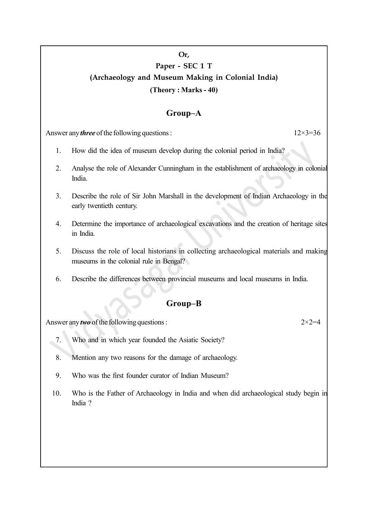## Or, Paper - SEC 1 T (Archaeology and Museum Making in Colonial India) (Theory : Marks - 40)

## Group–A

Answer any *three* of the following questions :  $12 \times 3 = 36$ 

- 1. How did the idea of museum develop during the colonial period in India?
- 2. Analyse the role of Alexander Cunningham in the establishment of archaeology in colonial India.
- 3. Describe the role of Sir John Marshall in the development of Indian Archaeology in the early twentieth century.
- 4. Determine the importance of archaeological excavations and the creation of heritage sites in India.
- 5. Discuss the role of local historians in collecting archaeological materials and making museums in the colonial rule in Bengal?
- 6. Describe the differences between provincial museums and local museums in India.

## Group–B

Answer any *two* of the following questions :  $2 \times 2 = 4$ 

- 7. Who and in which year founded the Asiatic Society?
- 8. Mention any two reasons for the damage of archaeology.
- 9. Who was the first founder curator of Indian Museum?
- 10. Who is the Father of Archaeology in India and when did archaeological study begin in India ?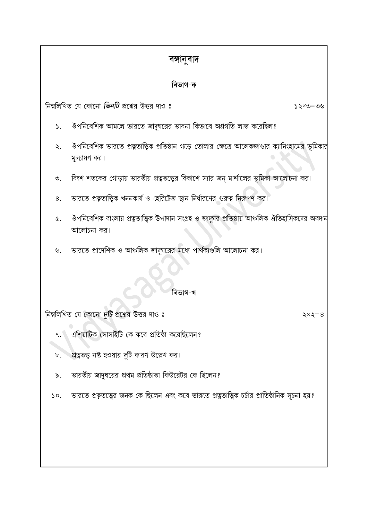## বঙ্গানুবাদ

## বিভাগ-ক

নিম্নলিখিত যে কোনো **তিনটি** প্রশ্নের উত্তর দাও ঃ

- ঔপনিবেশিক আমলে ভারতে জাদুঘরের ভাবনা কিভাবে অগ্রগতি লাভ করেছিল?  $\mathsf{S}_{\mathsf{L}}$
- ঔপনিবেশিক ভারতে প্রত্নতাত্ত্বিক প্রতিষ্ঠান গডে তোলার ক্ষেত্রে আলেকজাণ্ডার ক্যানিংহামের ভূমিকার  $\ddot{\mathcal{L}}$ . মূল্যায়ণ কর।
- বিংশ শতকের গোড়ায় ভারতীয় প্রত্নতত্ত্বের বিকাশে স্যার জন্ মার্শালের ভূমিকা আলোচনা কর।  $\mathcal{O}$ .
- ভারতে প্রত্নতাত্ত্বিক খননকার্য ও হেরিটেজ স্থান নির্ধারণের গুরুত্ব নিরুপণ কর। 8.
- ঔপনিবেশিক বাংলায় প্রত্নতাত্ত্বিক উপাদান সংগ্রহ ও জাদুঘর প্রতিষ্ঠায় আঞ্চলিক ঐতিহাসিকদের অবদান  $\alpha$ . আলোচনা কর।
- ভারতে প্রাদেশিক ও আঞ্চলিক জাদুঘরের মধ্যে পার্থক্যগুলি আলোচনা কর। ৬.

## বিভাগ-খ

নিম্নলিখিত যে কোনো দুটি প্রশ্নের উত্তর দাও ঃ

- এশিয়াটিক সোসাইটি কে কবে প্রতিষ্ঠা করেছিলেন?  $9.$
- প্রত্নতত্ত্ব নষ্ট হওয়ার দুটি কারণ উল্লেখ কর।  $\mathbf{b}$ .
- ভারতীয় জাদঘরের প্রথম প্রতিষ্ঠাতা কিউরেটর কে ছিলেন?  $\delta$ .
- ভারতে প্রত্নতত্ত্বের জনক কে ছিলেন এবং কবে ভারতে প্রত্নতাত্ত্বিক চর্চার প্রাতিষ্ঠানিক সূচনা হয়?  $\mathcal{L}$

# $90 = 252$

 $\xi \times \xi = 8$